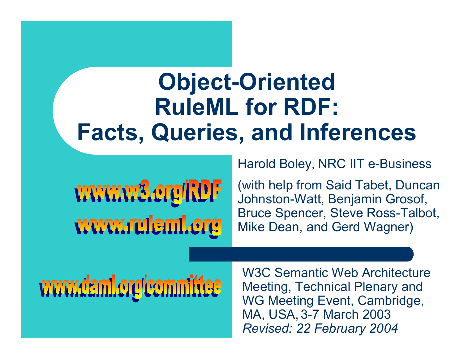## **Object-Oriented RuleML for RDF: Facts, Queries, and Inferences**

www.w3.org/RDF www.ruleml.org

Harold Boley, NRC IIT e-Business

(with help from Said Tabet, Duncan Johnston-Watt, Benjamin Grosof, Bruce Spencer, Steve Ross-Talbot, Mike Dean, and Gerd Wagner)

## www.daml.org/committee

W3C Semantic Web Architecture Meeting, Technical Plenary and WG Meeting Event, Cambridge, MA, USA, 3-7 March 2003 *Revised: 22 February 2004*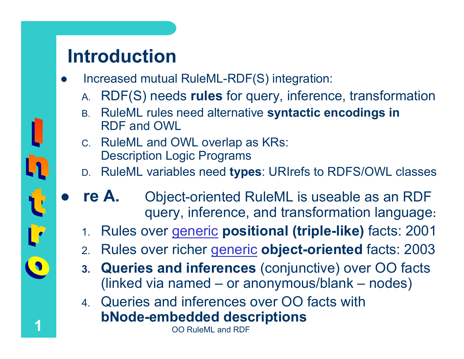#### **Introduction**

**1**

 $\bullet$ 

- $\bullet$  Increased mutual RuleML-RDF(S) integration:
	- A. RDF(S) needs **rules** for query, inference, transformation
	- B. RuleML rules need alternative **syntactic encodings in** RDF and OWL
	- C. RuleML and OWL overlap as KRs: Description Logic Programs
	- D. RuleML variables need **types**: URIrefs to RDFS/OWL classes
	- **re A.** Object-oriented RuleML is useable as an RDF query, inference, and transformation language**:**
		- 1. Rules over [generic](http://www.ai.sri.com/pkarp/xol/xol.html) **positional (triple-like)** facts: 2001
		- 2.Rules over richer generic **object-oriented** facts: 2003
		- **3. Queries and inferences** (conjunctive) over OO facts (linked via named – or anonymous/blank – nodes)
		- 4. Queries and inferences over OO facts with **bNode-embedded descriptions**

OO RuleML and RDF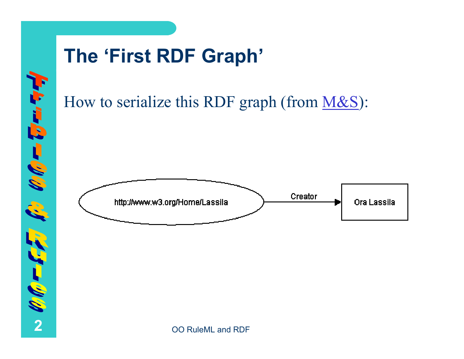

## **The 'First RDF Graph'**

How to serialize this RDF graph (from [M&S](http://www.w3.org/TR/1999/REC-rdf-syntax-19990222/)):

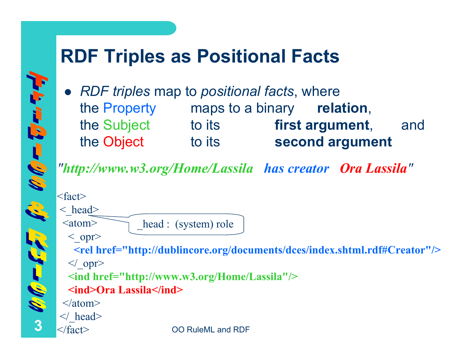#### **RDF Triples as Positional Facts**

27-00 m

 $\mathscr{G}/\mathscr{G}=\overline{\mathbf{G}}-1$ 

 $\bullet$  *RDF triples* map to *positional facts*, where the Property maps to a binary **relation**, the Subject to its **first argument**, and the Object to its **second argument** 

*"http://www.w3.org/Home/Lassila has creator Ora Lassila"*

```
 OO RuleML and RDF<fact>\langle head\rangle\leqatom>< opr>
   <rel href="http://dublincore.org/documents/dces/index.shtml.rdf#Creator"/>
  \langle opr>
  <ind href="http://www.w3.org/Home/Lassila"/>
  <ind>Ora Lassila</ind>\langle atom\rangle\langle \rangle head>
</fact>
                    head : (system) role
```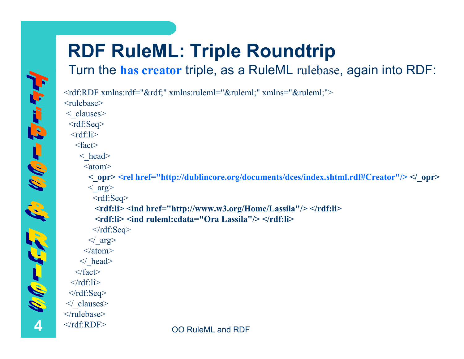## **RDF RuleML: Triple Roundtrip**

#### Turn the **has creator** triple, as a RuleML rulebase, again into RDF:

<rdf:RDF xmlns:rdf="&rdf;" xmlns:ruleml="&ruleml;" xmlns="&ruleml;">

 $\sim 4\pi\sqrt{6}$ 

こうじょう こうき

```
 OO RuleML and RDF<rulebase>< clauses>
 <rdf:Seq>
  \leq rdf:li\geq<fact>\langle head\rangle\leqatom><_opr> <rel href="http://dublincore.org/documents/dces/index.shtml.rdf#Creator"/> </_opr>
        \langle arg\rangle<rdf:Seq>
          <rdf:li> <ind href="http://www.w3.org/Home/Lassila"/> </rdf:li>
          <rdf:li> <ind ruleml:cdata="Ora Lassila"/> </rdf:li>\langle \text{rdf:Seq} \rangle\langle \rangle arg>
      \langleatom\rangle\langle head>
   \langle fact\rangle\langle \text{rdf:}li\rangle\langle \text{rdf:}\text{Seq}\rangle\langle clauses>
</rulebase>\langle rdf:RDF>
```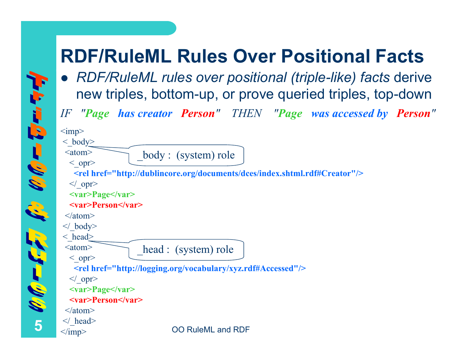### **RDF/RuleML Rules Over Positional Facts**

- z *RDF/RuleML rules over positional (triple-like) facts* derive new triples, bottom-up, or prove queried triples, top-down
- *IF "Page has creator Person" THEN "Page was accessed by Person"*

```
 OO RuleML and RDF\langleimp\rangle\langle body>
 \leqatom>< opr><rel href="http://dublincore.org/documents/dces/index.shtml.rdf#Creator"/>
  \langle opr>
  <var>Page</var>
  <var>Person</var>\langleatom\rangle\langle \rangle body>
\langle head\rangle\leqatom>< opr><rel href="http://logging.org/vocabulary/xyz.rdf#Accessed"/>
  \langle opr>
  <var>Page</var>
  <var>Person</var>\langleatom\rangle\langle head>
\langle\text{imp}\rangle_body : (system) role
                         head : (system) role
```
 $\ell/\ell_0 = \overline{\mathbf{C}} = \overline{\mathbf{C}}$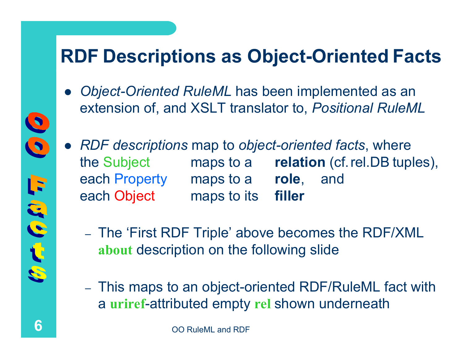#### **RDF Descriptions as Object-Oriented Facts**

- $\bullet$  *Object-Oriented RuleML* has been implemented as an extension of, and XSLT translator to, *Positional RuleML*
- z *RDF descriptions* map to *object-oriented facts*, where the Subject maps to a **relation** (cf.rel.DB tuples), each Property maps to a **role**, and each Object maps to its **filler**
	- – The 'First RDF Triple' above becomes the RDF/XML **about** description on the following slide
	- This maps to an object-oriented RDF/RuleML fact with <sup>a</sup>**uriref**-attributed empty **rel** shown underneath

 $\bullet$ 

 $\bullet$ 

 $\mathcal{C}_\ell \subset \mathcal{C}_\ell \Omega$  in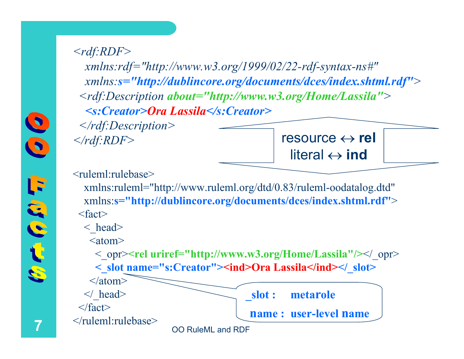*<rdf:RDF>*

*xmlns:rdf="http://www.w3.org/1999/02/22-rdf-syntax-ns#" xmlns:s="http://dublincore.org/documents/dces/index.shtml.rdf"<sup>&</sup>gt; <rdf:Description about="http://www.w3.org/Home/Lassila"<sup>&</sup>gt; <s:Creator>Ora Lassila</s:Creator>*

*</rdf:Description> </rdf:RDF>*

resource ↔ **rel** literal ↔ **ind**

<ruleml:rulebase>

xmlns:ruleml="http://www.ruleml.org/dtd/0.83/ruleml-oodatalog.dtd" xmlns:**s="http://dublincore.org/documents/dces/index.shtml.rdf"**<sup>&</sup>gt; <fact>

 $\langle$  head $\rangle$ 

 $\leq$ atom $>$ 

< opr>>**crel uriref="http://www.w3.org/Home/Lassila"/></ opr>** <*slot* name="s:Creator"><ind>Ora Lassila</ind><//></

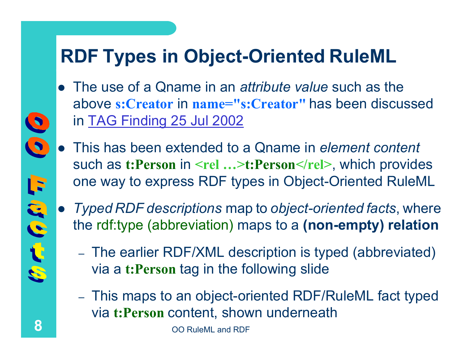## **RDF Types in Object-Oriented RuleML**

- The use of a Qname in an *attribute value* such as the above **s:Creator** in **name="s:Creator"** has been discussed in [TAG Finding 25 Jul 2002](http://www.w3.org/2001/tag/doc/qnameids.html)
- **•** This has been extended to a Qname in *element content* such as **t:Person** in **<rel …>t:Person</rel>**, which provides one way to express RDF types in Object-Oriented RuleML
- $\bullet$  *Typed RDF descriptions* map to *object-oriented facts*, where the rdf:type (abbreviation) maps to a **(non-empty) relation**
	- The earlier RDF/XML description is typed (abbreviated) via a **t:Person** tag in the following slide
	- This maps to an object-oriented RDF/RuleML fact typed via **t:Person** content, shown underneath

OO RuleML and RDF

S

S

F

 $\mathcal{C} \subset \mathcal{C}$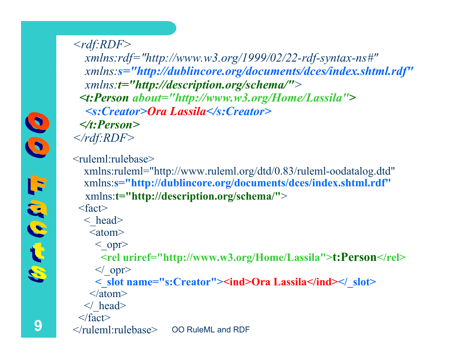# OO

*<rdf:RDF>*

*xmlns:rdf="http://www.w3.org/1999/02/22-rdf-syntax-ns#" xmlns:s="http://dublincore.org/documents/dces/index.shtml.rdf" xmlns:t="http://description.org/schema/"<sup>&</sup>gt; <t:Person about="http://www.w3.org/Home/Lassila"> <s:Creator>Ora Lassila</s:Creator></t:Person></rdf:RDF>*

<ruleml:rulebase>

xmlns:ruleml="http://www.ruleml.org/dtd/0.83/ruleml-oodatalog.dtd" xmlns:**s="http://dublincore.org/documents/dces/index.shtml.rdf"** xmlns:**t="http://description.org/schema/"**<sup>&</sup>gt; <fact>

 $\langle$  head $\rangle$ 

 $\leq$ atom $>$ 

 $<$  opr>

**<rel uriref="http://www.w3.org/Home/Lassila">t:Person</rel>**  $\langle$  opr>

< slot name="s:Creator">
ind>Ora Lassila
lind>
</br/>
lot>

- $\langle$ atom $\rangle$
- $\langle \rangle$  head>
- </fact>

 $\triangleright$   $\preceq$  /ruleml:rulebase> OO RuleML and RDF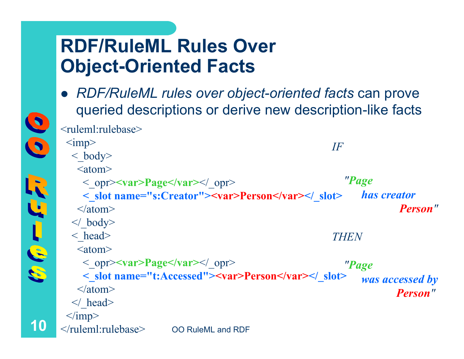#### **RDF/RuleML Rules Over Object-Oriented Facts**

**10**

 $\bullet$ 

 $\bullet$ 

- $\bullet$  *RDF/RuleML rules over object-oriented facts* can prove queried descriptions or derive new description-like facts <ruleml:rulebase>
- $\bullet$   $\le$  /ruleml:rulebase>  $\bullet$  OO RuleML and RDF  $\langle \text{imp} \rangle$  $\langle$  body>  $\leq$ atom $>$  $\langle$  opr $\langle \text{var} \rangle$ **Page** $\langle \text{var} \rangle$  opr $\langle$ < slot name="s:Creator">>var>Person</var></ slot>  $\langle$ atom $\rangle$  $\langle \rangle$  body>  $\langle$  head $\rangle$  $\leq$ atom $>$ < opr> **var>Page
</var>
//>**  $\alpha$  **opr>** < slot name="t:Accessed"><var>Person</var></slot>  $\langle$  atom $\rangle$  $\langle \rangle$  head  $\langle \text{imp} \rangle$ *IF"Page has creator Person"THEN"Page was accessed by Person"*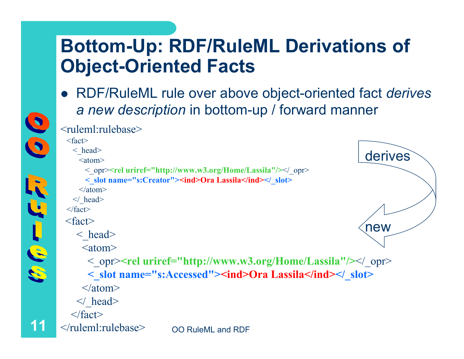#### **Bottom-Up: RDF/RuleML Derivations of Object-Oriented Facts**

 $\bullet$  RDF/RuleML rule over above object-oriented fact *derives a new description* in bottom-up / forward manner

#### <ruleml:rulebase>

**11**

 $\overline{c}$ 

 $\bullet$ 

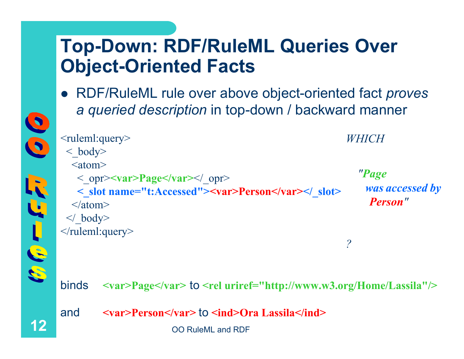### **Top-Down: RDF/RuleML Queries Over Object-Oriented Facts**

 $\bullet$  RDF/RuleML rule over above object-oriented fact *proves a queried description* in top-down / backward manner

| $\bullet$ | $\alpha$ quonou aboutpaon in top abount, saonnana mannon             |                 |  |
|-----------|----------------------------------------------------------------------|-----------------|--|
|           | <ruleml:query></ruleml:query>                                        | WHICH           |  |
| $\bullet$ | $<$ body>                                                            |                 |  |
|           | $\alpha$ <atom></atom>                                               |                 |  |
|           | $\langle$ opr> $\langle var \rangle$ Page $\langle var \rangle$ opr> | "Page           |  |
|           | < slot name="t:Accessed"> <var>Person</var>                          | was accessed by |  |
|           | $\alpha$ /atom>                                                      | <b>Person"</b>  |  |
|           | $\langle \rangle$ body>                                              |                 |  |
|           | $\le$ /ruleml:query>                                                 |                 |  |
|           |                                                                      |                 |  |
| S.        |                                                                      |                 |  |
|           |                                                                      |                 |  |

binds**<var>Page</var>** to **<rel uriref="http://www.w3.org/Home/Lassila"/>**

 OO RuleML and RDFand**<var>Person</var>** to **<ind>Ora Lassila</ind>**

**12**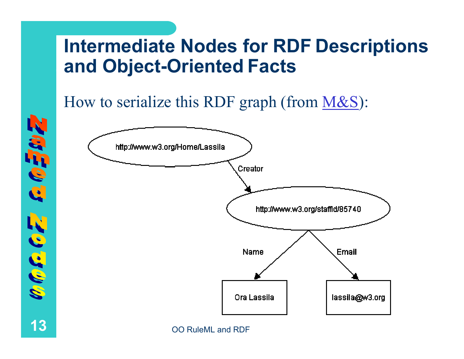#### **Intermediate Nodes for RDF Descriptions and Object-Oriented Facts**

How to serialize this RDF graph (from M&S):



#### OO RuleML and RDF

**13**

 $\eta$  of  $\epsilon$  of

にのこのい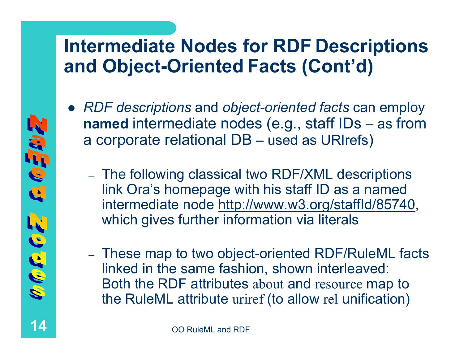#### **Intermediate Nodes for RDF Descriptions and Object-Oriented Facts (Cont'd)**

- z *RDF descriptions* and *object-oriented facts* can employ **named** intermediate nodes (e.g., staff IDs – as from a corporate relational DB – used as URIrefs)
	- The following classical two RDF/XML descriptions link Ora's homepage with his staff ID as a named intermediate node http://www.w3.org/staffId/85740, which gives further information via literals
	- These map to two object-oriented RDF/RuleML facts linked in the same fashion, shown interleaved: Both the RDF attributes about and resource map to the RuleML attribute uriref (to allow rel unification)

てきどう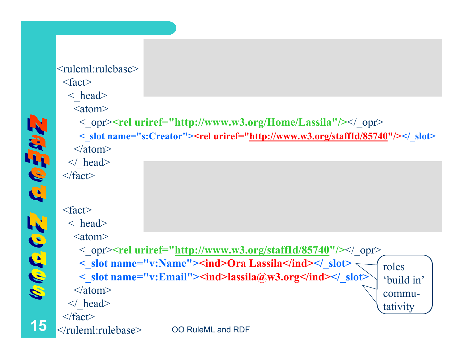#### <ruleml:rulebase><fact>

- $\langle$  head $\rangle$ 
	- $\leq$ atom $>$

```
< opr>>crel uriref="http://www.w3.org/Home/Lassila"/></ opr>
```
- **<\_slot name="s:Creator"><rel uriref="http://www.w3.org/staffId/85740"/></\_slot>**  $\langle$  atom $\rangle$
- $\langle \rangle$  head>  $\langle$ fact $\rangle$

「「の子的石

 $\eta_{\rm s} \eta_{\rm s} \approx \eta_{\rm s} \eta$ 

- <fact>
	- $\langle$  head $\rangle$ 
		- $\leq$ atom $>$

 $\langle \rangle$  head

- < opr>>**crel uriref="http://www.w3.org/staffId/85740"/></ opr>**
- <\_slot name="v:Name"><ind>Ora Lassila</ind></\_slot> \
- < slot name="v:Email"><ind>lassila@w3.org</ind></ slot>  $\langle$ atom $\rangle$

roles 'build in' commutativity

**15**

 $\langle$ fact $\rangle$ 

 $\triangleright$   $\preceq$  /ruleml:rulebase>  $\triangleright$  OO RuleML and RDF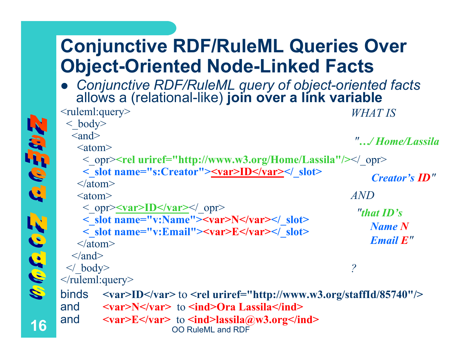## **Conjunctive RDF/RuleML Queries Over Object-Oriented Node-Linked Facts**

 $\bullet$ *Conjunctive RDF/RuleML query of object-oriented facts* allows a (relational-like) **join over a link variable**

|               | $\leq$ ruleml:query>                                                                                                                                      | <b>WHAT IS</b>       |
|---------------|-----------------------------------------------------------------------------------------------------------------------------------------------------------|----------------------|
|               | $<$ body>                                                                                                                                                 |                      |
| The family of | $\langle$ and $\rangle$                                                                                                                                   | "/Home/Lassila       |
|               | $\alpha$ <atom></atom>                                                                                                                                    |                      |
|               | $\langle$ opr> $\langle$ rel uriref="http://www.w3.org/Home/Lassila"/> $\langle$ opr>                                                                     |                      |
|               | < slot name="s:Creator"> <var>ID</var>                                                                                                                    | <b>Creator's ID"</b> |
|               | $\alpha$ /atom>                                                                                                                                           |                      |
|               | $\alpha$ <atom></atom>                                                                                                                                    | $\mathit{AND}$       |
|               | $\langle$ opr> $\leq$ var>ID $\leq$ /var> $\leq$ opr>                                                                                                     | "that $ID's$         |
|               | $\langle$ slot name="v:Name"> $\langle var\rangle$ N $\langle var\rangle$ slot>                                                                           | <b>Name N</b>        |
| <b>MAGE</b>   | $\langle$ slot name="v:Email"> $\langle var \rangle$ E $\langle var \rangle$ slot                                                                         |                      |
|               | $\alpha$ /atom>                                                                                                                                           | <b>Email E"</b>      |
|               | $\langle$ and $\rangle$                                                                                                                                   |                      |
|               | $\langle \rangle$ body>                                                                                                                                   |                      |
| <b>CANADA</b> | $\le$ /ruleml:query>                                                                                                                                      |                      |
|               | <b>binds</b><br>$\langle var\rangle$ ID $\langle var\rangle$ to $\langle rel$ uriref="http://www.w3.org/staffId/85740"/ $\rangle$                         |                      |
|               | $\langle var\rangle$ N $\langle var\rangle$ to $\langle ind\rangle$ Ora Lassila $\langle ind\rangle$<br>and                                               |                      |
|               | and<br>$\langle \text{var} \rangle E \langle \text{var} \rangle$ to $\langle \text{ind} \rangle$ lassila ( <i>a</i> ) w3.org $\langle \text{ind} \rangle$ |                      |
| 6             | <b>OO RuleML and RDF</b>                                                                                                                                  |                      |

**16**

**15 Mill** 

ゆぎぬる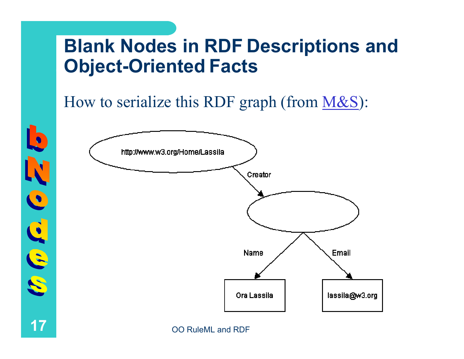#### **Blank Nodes in RDF Descriptions and Object-Oriented Facts**

How to serialize this RDF graph (from [M&S](http://www.w3.org/TR/1999/REC-rdf-syntax-19990222/)):



#### OO RuleML and RDF

**17**

C

17 G. F.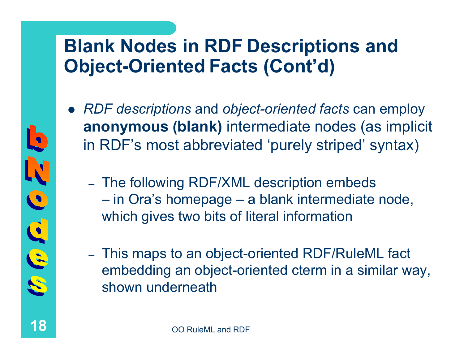## **Blank Nodes in RDF Descriptions and Object-Oriented Facts (Cont'd)**

- $\bullet$  *RDF descriptions* and *object-oriented facts* can employ **anonymous (blank)** intermediate nodes (as implicit in RDF's most abbreviated 'purely striped' syntax)
	- The following RDF/XML description embeds –– in Ora's homepage – a blank intermediate node, which gives two bits of literal information
	- This maps to an object-oriented RDF/RuleML fact embedding an object-oriented cterm in a similar way, shown underneath

**18**

**I** 

 $\bullet$ 

17 (p. S.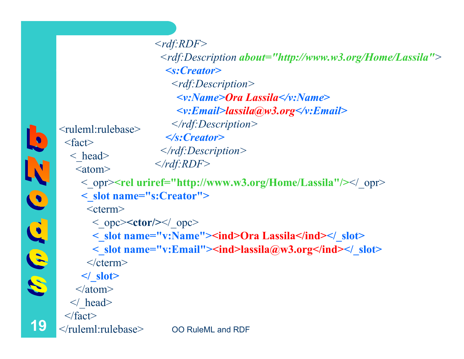$\triangledown$   $\le$ /ruleml:rulebase>  $\odot$  OO RuleML and RDF *<rdf:RDF> <rdf:Description about="http://www.w3.org/Home/Lassila"<sup>&</sup>gt; <s:Creator><rdf:Description> <v:Name>Ora Lassila</v:Name><v:Email>lassila@w3.org</v:Email> </rdf:Description> </s:Creator></rdf:Description> </rdf:RDF>*  <ruleml:rulebase> <fact> $\langle$  head $\rangle$  $\leq$ atom $>$ < opr>>**crel uriref="http://www.w3.org/Home/Lassila"/></ opr> <\_slot name="s:Creator">** <cterm> $\langle$  opc $\rangle$ **<ctor** $\rangle$   $\langle$  opc $\rangle$ **<\_slot name="v:Name"><ind>Ora Lassila</ind></\_slot>** < slot name="v:Email"><ind>lassila@w3.org</ind></ slot>  $\langle$ cterm $\rangle$ **</\_slot>**  $\alpha$  /atom>  $\langle \rangle$  head  $\langle$ fact $\rangle$ 

**19**

Ŀ

C

17 G G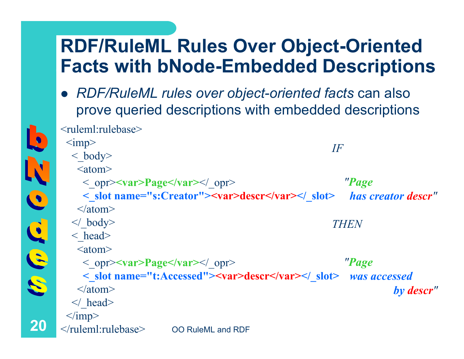#### **RDF/RuleML Rules Over Object-Oriented Facts with bNode-Embedded Descriptions**

 $\bullet$  *RDF/RuleML rules over object-oriented facts* can also prove queried descriptions with embedded descriptions

```
\bigcup \le/ruleml:rulebase> OO RuleML and RDF
     <ruleml:rulebase>\langle \text{imp} \rangle\langle body>
          \leqatom>\langle opr\langle \text{var} \ranglePage\langle \text{var} \rangle opr\langle< slot name="s:Creator"><var>descr</var></ slot>
          \langleatom\rangle\langle \rangle body>
        \langle head\rangle\leqatom>< opr>
var>Page
</var>
//>
\angle opr>
            < slot name="t:Accessed"><var>descr</var></ slot>
          \le/atom>\langle \rangle head
       \langle \text{imp} \rangleIF"Page
                                                                                       has creator descr"
                                                                                  THEN"Page
                                                                                      was accessedby descr"
```
**20**

La

 $\bullet$ 

Q

 $\mathcal{C}_{\mathcal{P}}$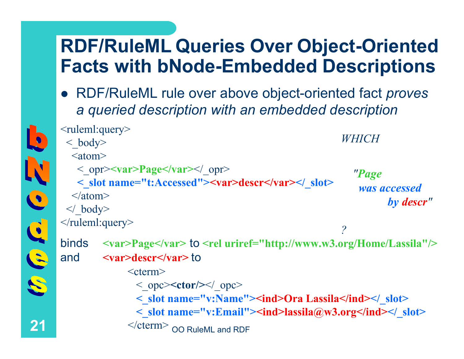#### **RDF/RuleML Queries Over Object-Oriented Facts with bNode-Embedded Descriptions**

 $\bullet$  RDF/RuleML rule over above object-oriented fact *proves a queried description with an embedded description*

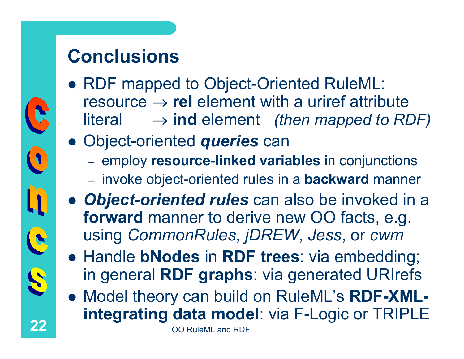### **Conclusions**

**22**

S

- RDF mapped to Object-Oriented RuleML: resource  $\rightarrow$  **rel** element with a uriref attribute **literal ind** element *(then mapped to RDF)*
- **Object-oriented** *queries* can
	- employ **resource-linked variables** in conjunctions
	- –invoke object-oriented rules in a **backward** manner
- **Object-oriented rules** can also be invoked in a **forward** manner to derive new OO facts, e.g. using *CommonRules*, *jDREW*, *Jess*, or *cwm*
- z Handle **bNodes** in **RDF trees**: via embedding; in general **RDF graphs**: via generated URIrefs
- **Model theory can build on RuleML's RDF-XMLintegrating data model**: via F-Logic or TRIPLE

OO RuleML and RDF